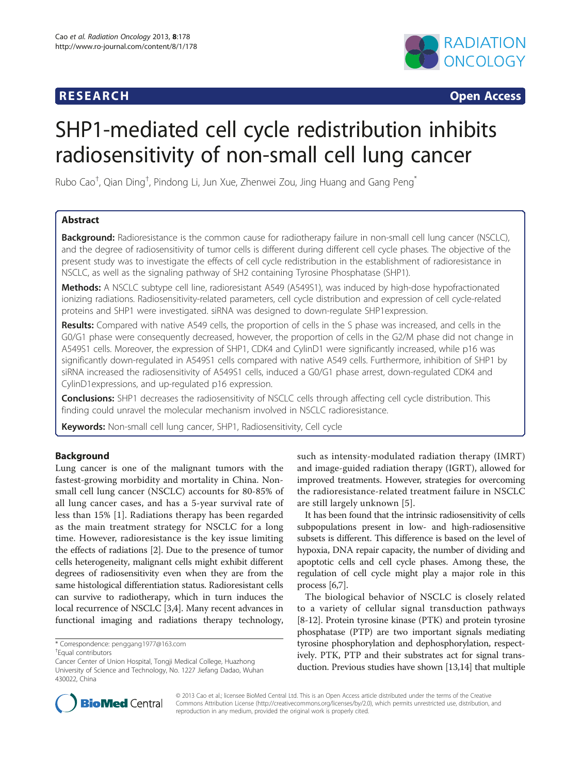## **RESEARCH CHINESE ARCH CHINESE ARCH CHINESE ARCH**



# SHP1-mediated cell cycle redistribution inhibits radiosensitivity of non-small cell lung cancer

Rubo Cao $^\dagger$ , Qian Ding $^\dagger$ , Pindong Li, Jun Xue, Zhenwei Zou, Jing Huang and Gang Peng $^*$ 

## Abstract

**Background:** Radioresistance is the common cause for radiotherapy failure in non-small cell lung cancer (NSCLC), and the degree of radiosensitivity of tumor cells is different during different cell cycle phases. The objective of the present study was to investigate the effects of cell cycle redistribution in the establishment of radioresistance in NSCLC, as well as the signaling pathway of SH2 containing Tyrosine Phosphatase (SHP1).

Methods: A NSCLC subtype cell line, radioresistant A549 (A549S1), was induced by high-dose hypofractionated ionizing radiations. Radiosensitivity-related parameters, cell cycle distribution and expression of cell cycle-related proteins and SHP1 were investigated. siRNA was designed to down-regulate SHP1expression.

Results: Compared with native A549 cells, the proportion of cells in the S phase was increased, and cells in the G0/G1 phase were consequently decreased, however, the proportion of cells in the G2/M phase did not change in A549S1 cells. Moreover, the expression of SHP1, CDK4 and CylinD1 were significantly increased, while p16 was significantly down-regulated in A549S1 cells compared with native A549 cells. Furthermore, inhibition of SHP1 by siRNA increased the radiosensitivity of A549S1 cells, induced a G0/G1 phase arrest, down-regulated CDK4 and CylinD1expressions, and up-regulated p16 expression.

Conclusions: SHP1 decreases the radiosensitivity of NSCLC cells through affecting cell cycle distribution. This finding could unravel the molecular mechanism involved in NSCLC radioresistance.

Keywords: Non-small cell lung cancer, SHP1, Radiosensitivity, Cell cycle

## Background

Lung cancer is one of the malignant tumors with the fastest-growing morbidity and mortality in China. Nonsmall cell lung cancer (NSCLC) accounts for 80-85% of all lung cancer cases, and has a 5-year survival rate of less than 15% [[1\]](#page-8-0). Radiations therapy has been regarded as the main treatment strategy for NSCLC for a long time. However, radioresistance is the key issue limiting the effects of radiations [\[2](#page-8-0)]. Due to the presence of tumor cells heterogeneity, malignant cells might exhibit different degrees of radiosensitivity even when they are from the same histological differentiation status. Radioresistant cells can survive to radiotherapy, which in turn induces the local recurrence of NSCLC [\[3,4\]](#page-8-0). Many recent advances in functional imaging and radiations therapy technology,

such as intensity-modulated radiation therapy (IMRT) and image-guided radiation therapy (IGRT), allowed for improved treatments. However, strategies for overcoming the radioresistance-related treatment failure in NSCLC are still largely unknown [[5](#page-8-0)].

It has been found that the intrinsic radiosensitivity of cells subpopulations present in low- and high-radiosensitive subsets is different. This difference is based on the level of hypoxia, DNA repair capacity, the number of dividing and apoptotic cells and cell cycle phases. Among these, the regulation of cell cycle might play a major role in this process [\[6,7\]](#page-8-0).

The biological behavior of NSCLC is closely related to a variety of cellular signal transduction pathways [[8-12\]](#page-8-0). Protein tyrosine kinase (PTK) and protein tyrosine phosphatase (PTP) are two important signals mediating tyrosine phosphorylation and dephosphorylation, respectively. PTK, PTP and their substrates act for signal transduction. Previous studies have shown [[13](#page-8-0),[14](#page-8-0)] that multiple



© 2013 Cao et al.; licensee BioMed Central Ltd. This is an Open Access article distributed under the terms of the Creative Commons Attribution License [\(http://creativecommons.org/licenses/by/2.0\)](http://creativecommons.org/licenses/by/2.0), which permits unrestricted use, distribution, and reproduction in any medium, provided the original work is properly cited.

<sup>\*</sup> Correspondence: [penggang1977@163.com](mailto:penggang1977@163.com) †

Equal contributors

Cancer Center of Union Hospital, Tongji Medical College, Huazhong University of Science and Technology, No. 1227 Jiefang Dadao, Wuhan 430022, China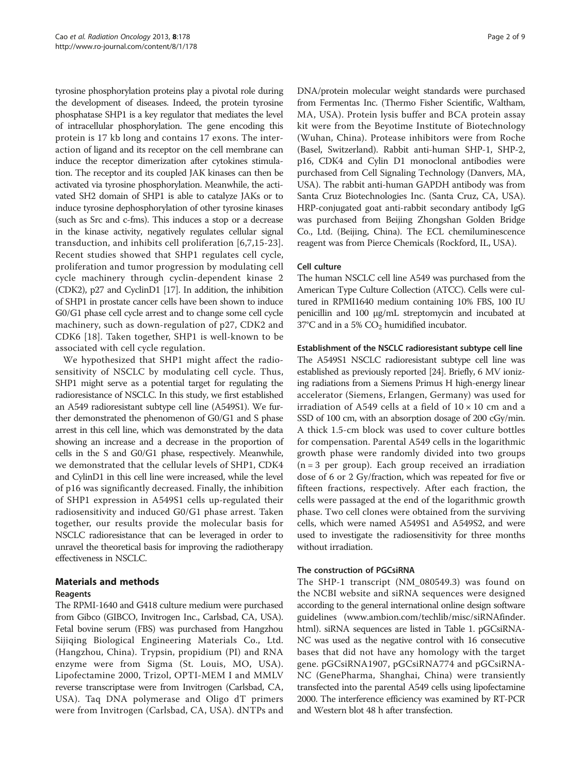tyrosine phosphorylation proteins play a pivotal role during the development of diseases. Indeed, the protein tyrosine phosphatase SHP1 is a key regulator that mediates the level of intracellular phosphorylation. The gene encoding this protein is 17 kb long and contains 17 exons. The interaction of ligand and its receptor on the cell membrane can induce the receptor dimerization after cytokines stimulation. The receptor and its coupled JAK kinases can then be activated via tyrosine phosphorylation. Meanwhile, the activated SH2 domain of SHP1 is able to catalyze JAKs or to induce tyrosine dephosphorylation of other tyrosine kinases (such as Src and c-fms). This induces a stop or a decrease in the kinase activity, negatively regulates cellular signal transduction, and inhibits cell proliferation [[6,7,15](#page-8-0)-[23](#page-8-0)]. Recent studies showed that SHP1 regulates cell cycle, proliferation and tumor progression by modulating cell cycle machinery through cyclin-dependent kinase 2 (CDK2), p27 and CyclinD1 [\[17\]](#page-8-0). In addition, the inhibition of SHP1 in prostate cancer cells have been shown to induce G0/G1 phase cell cycle arrest and to change some cell cycle machinery, such as down-regulation of p27, CDK2 and CDK6 [[18\]](#page-8-0). Taken together, SHP1 is well-known to be associated with cell cycle regulation.

We hypothesized that SHP1 might affect the radiosensitivity of NSCLC by modulating cell cycle. Thus, SHP1 might serve as a potential target for regulating the radioresistance of NSCLC. In this study, we first established an A549 radioresistant subtype cell line (A549S1). We further demonstrated the phenomenon of G0/G1 and S phase arrest in this cell line, which was demonstrated by the data showing an increase and a decrease in the proportion of cells in the S and G0/G1 phase, respectively. Meanwhile, we demonstrated that the cellular levels of SHP1, CDK4 and CylinD1 in this cell line were increased, while the level of p16 was significantly decreased. Finally, the inhibition of SHP1 expression in A549S1 cells up-regulated their radiosensitivity and induced G0/G1 phase arrest. Taken together, our results provide the molecular basis for NSCLC radioresistance that can be leveraged in order to unravel the theoretical basis for improving the radiotherapy effectiveness in NSCLC.

## Materials and methods

## Reagents

The RPMI-1640 and G418 culture medium were purchased from Gibco (GIBCO, Invitrogen Inc., Carlsbad, CA, USA). Fetal bovine serum (FBS) was purchased from Hangzhou Sijiqing Biological Engineering Materials Co., Ltd. (Hangzhou, China). Trypsin, propidium (PI) and RNA enzyme were from Sigma (St. Louis, MO, USA). Lipofectamine 2000, Trizol, OPTI-MEM I and MMLV reverse transcriptase were from Invitrogen (Carlsbad, CA, USA). Taq DNA polymerase and Oligo dT primers were from Invitrogen (Carlsbad, CA, USA). dNTPs and DNA/protein molecular weight standards were purchased from Fermentas Inc. (Thermo Fisher Scientific, Waltham, MA, USA). Protein lysis buffer and BCA protein assay kit were from the Beyotime Institute of Biotechnology (Wuhan, China). Protease inhibitors were from Roche (Basel, Switzerland). Rabbit anti-human SHP-1, SHP-2, p16, CDK4 and Cylin D1 monoclonal antibodies were purchased from Cell Signaling Technology (Danvers, MA, USA). The rabbit anti-human GAPDH antibody was from Santa Cruz Biotechnologies Inc. (Santa Cruz, CA, USA). HRP-conjugated goat anti-rabbit secondary antibody IgG was purchased from Beijing Zhongshan Golden Bridge Co., Ltd. (Beijing, China). The ECL chemiluminescence reagent was from Pierce Chemicals (Rockford, IL, USA).

#### Cell culture

The human NSCLC cell line A549 was purchased from the American Type Culture Collection (ATCC). Cells were cultured in RPMI1640 medium containing 10% FBS, 100 IU penicillin and 100 μg/mL streptomycin and incubated at 37°C and in a 5%  $CO<sub>2</sub>$  humidified incubator.

#### Establishment of the NSCLC radioresistant subtype cell line

The A549S1 NSCLC radioresistant subtype cell line was established as previously reported [\[24](#page-8-0)]. Briefly, 6 MV ionizing radiations from a Siemens Primus H high-energy linear accelerator (Siemens, Erlangen, Germany) was used for irradiation of A549 cells at a field of  $10 \times 10$  cm and a SSD of 100 cm, with an absorption dosage of 200 cGy/min. A thick 1.5-cm block was used to cover culture bottles for compensation. Parental A549 cells in the logarithmic growth phase were randomly divided into two groups  $(n = 3$  per group). Each group received an irradiation dose of 6 or 2 Gy/fraction, which was repeated for five or fifteen fractions, respectively. After each fraction, the cells were passaged at the end of the logarithmic growth phase. Two cell clones were obtained from the surviving cells, which were named A549S1 and A549S2, and were used to investigate the radiosensitivity for three months without irradiation.

#### The construction of PGCsiRNA

The SHP-1 transcript (NM\_080549.3) was found on the NCBI website and siRNA sequences were designed according to the general international online design software guidelines ([www.ambion.com/techlib/misc/siRNAfinder.](http://www.ambion.com/techlib/misc/siRNAfinder.html) [html\)](http://www.ambion.com/techlib/misc/siRNAfinder.html). siRNA sequences are listed in Table [1.](#page-2-0) pGCsiRNA-NC was used as the negative control with 16 consecutive bases that did not have any homology with the target gene. pGCsiRNA1907, pGCsiRNA774 and pGCsiRNA-NC (GenePharma, Shanghai, China) were transiently transfected into the parental A549 cells using lipofectamine 2000. The interference efficiency was examined by RT-PCR and Western blot 48 h after transfection.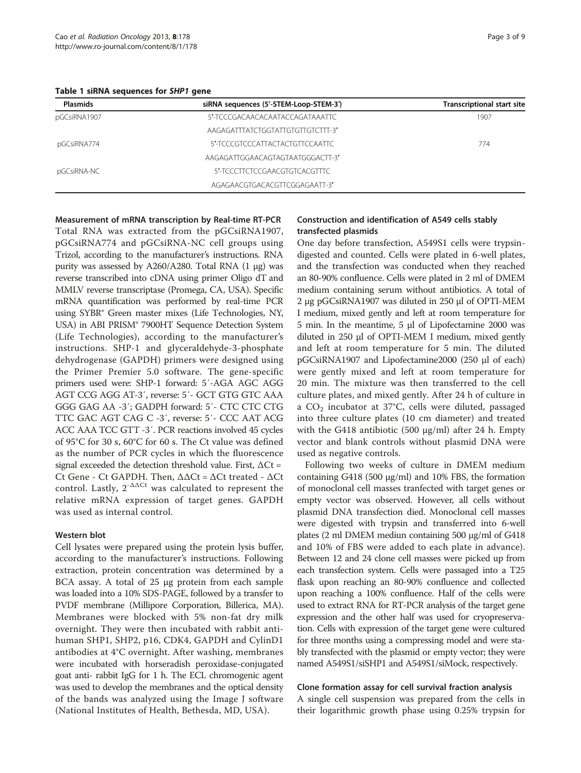<span id="page-2-0"></span>Table 1 siRNA sequences for SHP1 gene

| <b>Plasmids</b> | siRNA sequences (5'-STEM-Loop-STEM-3') | <b>Transcriptional start site</b> |
|-----------------|----------------------------------------|-----------------------------------|
| pGCsiRNA1907    | 5'-TCCCGACAACACAATACCAGATAAATTC        | 1907                              |
|                 | AAGAGATTTATCTGGTATTGTGTTGTCTTT-3'      |                                   |
| pGCsiRNA774     | 5'-TCCCGTCCCATTACTACTGTTCCAATTC        | 774                               |
|                 | AAGAGATTGGAACAGTAGTAATGGGACTT-3'       |                                   |
| pGCsiRNA-NC     | 5'-TCCCTTCTCCGAACGTGTCACGTTTC          |                                   |
|                 | AGAGAACGTGACACGTTCGGAGAATT-3'          |                                   |

Measurement of mRNA transcription by Real-time RT-PCR

Total RNA was extracted from the pGCsiRNA1907, pGCsiRNA774 and pGCsiRNA-NC cell groups using Trizol, according to the manufacturer's instructions. RNA purity was assessed by A260/A280. Total RNA (1 μg) was reverse transcribed into cDNA using primer Oligo dT and MMLV reverse transcriptase (Promega, CA, USA). Specific mRNA quantification was performed by real-time PCR using SYBR® Green master mixes (Life Technologies, NY, USA) in ABI PRISM® 7900HT Sequence Detection System (Life Technologies), according to the manufacturer's instructions. SHP-1 and glyceraldehyde-3-phosphate dehydrogenase (GAPDH) primers were designed using the Primer Premier 5.0 software. The gene-specific primers used were: SHP-1 forward: 5′-AGA AGC AGG AGT CCG AGG AT-3′, reverse: 5′- GCT GTG GTC AAA GGG GAG AA -3′; GADPH forward: 5′- CTC CTC CTG TTC GAC AGT CAG C -3′, reverse: 5′- CCC AAT ACG ACC AAA TCC GTT -3′. PCR reactions involved 45 cycles of 95°C for 30 s, 60°C for 60 s. The Ct value was defined as the number of PCR cycles in which the fluorescence signal exceeded the detection threshold value. First,  $\Delta$ Ct = Ct Gene - Ct GAPDH. Then, ΔΔCt = ΔCt treated - ΔCt control. Lastly,  $2^{-\Delta\Delta Ct}$  was calculated to represent the relative mRNA expression of target genes. GAPDH was used as internal control.

#### Western blot

Cell lysates were prepared using the protein lysis buffer, according to the manufacturer's instructions. Following extraction, protein concentration was determined by a BCA assay. A total of 25 μg protein from each sample was loaded into a 10% SDS-PAGE, followed by a transfer to PVDF membrane (Millipore Corporation, Billerica, MA). Membranes were blocked with 5% non-fat dry milk overnight. They were then incubated with rabbit antihuman SHP1, SHP2, p16, CDK4, GAPDH and CylinD1 antibodies at 4°C overnight. After washing, membranes were incubated with horseradish peroxidase-conjugated goat anti- rabbit IgG for 1 h. The ECL chromogenic agent was used to develop the membranes and the optical density of the bands was analyzed using the Image J software (National Institutes of Health, Bethesda, MD, USA).

#### Construction and identification of A549 cells stably transfected plasmids

One day before transfection, A549S1 cells were trypsindigested and counted. Cells were plated in 6-well plates, and the transfection was conducted when they reached an 80-90% confluence. Cells were plated in 2 ml of DMEM medium containing serum without antibiotics. A total of 2 μg pGCsiRNA1907 was diluted in 250 μl of OPTI-MEM I medium, mixed gently and left at room temperature for 5 min. In the meantime, 5 μl of Lipofectamine 2000 was diluted in 250 μl of OPTI-MEM I medium, mixed gently and left at room temperature for 5 min. The diluted pGCsiRNA1907 and Lipofectamine2000 (250 μl of each) were gently mixed and left at room temperature for 20 min. The mixture was then transferred to the cell culture plates, and mixed gently. After 24 h of culture in a  $CO<sub>2</sub>$  incubator at 37°C, cells were diluted, passaged into three culture plates (10 cm diameter) and treated with the G418 antibiotic (500  $\mu$ g/ml) after 24 h. Empty vector and blank controls without plasmid DNA were used as negative controls.

Following two weeks of culture in DMEM medium containing G418 (500 μg/ml) and 10% FBS, the formation of monoclonal cell masses tranfected with target genes or empty vector was observed. However, all cells without plasmid DNA transfection died. Monoclonal cell masses were digested with trypsin and transferred into 6-well plates (2 ml DMEM mediun containing 500 μg/ml of G418 and 10% of FBS were added to each plate in advance). Between 12 and 24 clone cell masses were picked up from each transfection system. Cells were passaged into a T25 flask upon reaching an 80-90% confluence and collected upon reaching a 100% confluence. Half of the cells were used to extract RNA for RT-PCR analysis of the target gene expression and the other half was used for cryopreservation. Cells with expression of the target gene were cultured for three months using a compressing model and were stably transfected with the plasmid or empty vector; they were named A549S1/siSHP1 and A549S1/siMock, respectively.

#### Clone formation assay for cell survival fraction analysis

A single cell suspension was prepared from the cells in their logarithmic growth phase using 0.25% trypsin for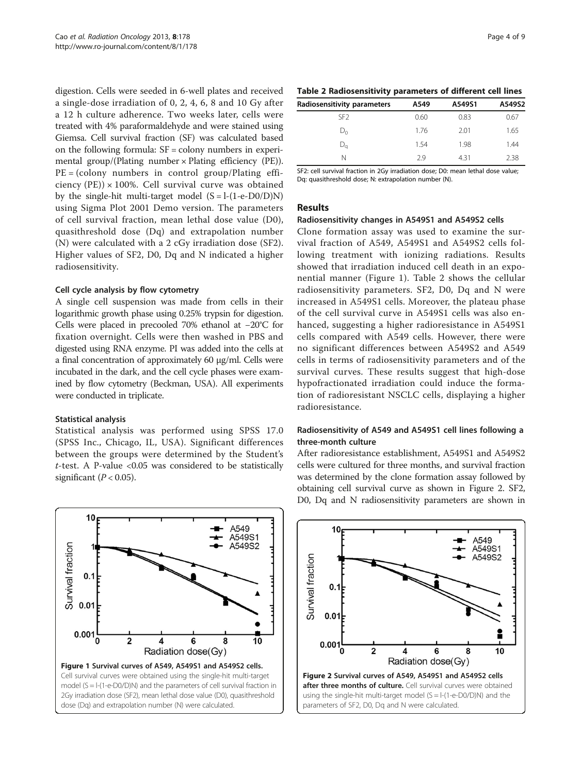digestion. Cells were seeded in 6-well plates and received a single-dose irradiation of 0, 2, 4, 6, 8 and 10 Gy after a 12 h culture adherence. Two weeks later, cells were treated with 4% paraformaldehyde and were stained using Giemsa. Cell survival fraction (SF) was calculated based on the following formula: SF = colony numbers in experimental group/(Plating number  $\times$  Plating efficiency (PE)).  $PE = (color$  numbers in control group/Plating efficiency (PE))  $\times$  100%. Cell survival curve was obtained by the single-hit multi-target model  $(S = 1-(1-e-D0/D)N)$ using Sigma Plot 2001 Demo version. The parameters of cell survival fraction, mean lethal dose value (D0), quasithreshold dose (Dq) and extrapolation number (N) were calculated with a 2 cGy irradiation dose (SF2). Higher values of SF2, D0, Dq and N indicated a higher radiosensitivity.

#### Cell cycle analysis by flow cytometry

A single cell suspension was made from cells in their logarithmic growth phase using 0.25% trypsin for digestion. Cells were placed in precooled 70% ethanol at −20°C for fixation overnight. Cells were then washed in PBS and digested using RNA enzyme. PI was added into the cells at a final concentration of approximately 60 μg/ml. Cells were incubated in the dark, and the cell cycle phases were examined by flow cytometry (Beckman, USA). All experiments were conducted in triplicate.

#### Statistical analysis

Statistical analysis was performed using SPSS 17.0 (SPSS Inc., Chicago, IL, USA). Significant differences between the groups were determined by the Student's  $t$ -test. A P-value < $0.05$  was considered to be statistically significant ( $P < 0.05$ ).



| Radiosensitivity parameters | A549 | A549S1 | A549S2 |
|-----------------------------|------|--------|--------|
| SF <sub>2</sub>             | 0.60 | 0.83   | 0.67   |
| $D_{0}$                     | 1.76 | 2.01   | 1.65   |
| $\mathsf{D}_\mathsf{a}$     | 1.54 | 1.98   | 1.44   |
| Ν                           | 29   | 4.31   | 2.38   |

SF2: cell survival fraction in 2Gy irradiation dose; D0: mean lethal dose value; Dq: quasithreshold dose; N: extrapolation number (N).

#### Results

#### Radiosensitivity changes in A549S1 and A549S2 cells

Clone formation assay was used to examine the survival fraction of A549, A549S1 and A549S2 cells following treatment with ionizing radiations. Results showed that irradiation induced cell death in an exponential manner (Figure 1). Table 2 shows the cellular radiosensitivity parameters. SF2, D0, Dq and N were increased in A549S1 cells. Moreover, the plateau phase of the cell survival curve in A549S1 cells was also enhanced, suggesting a higher radioresistance in A549S1 cells compared with A549 cells. However, there were no significant differences between A549S2 and A549 cells in terms of radiosensitivity parameters and of the survival curves. These results suggest that high-dose hypofractionated irradiation could induce the formation of radioresistant NSCLC cells, displaying a higher radioresistance.

#### Radiosensitivity of A549 and A549S1 cell lines following a three-month culture

After radioresistance establishment, A549S1 and A549S2 cells were cultured for three months, and survival fraction was determined by the clone formation assay followed by obtaining cell survival curve as shown in Figure 2. SF2, D0, Dq and N radiosensitivity parameters are shown in

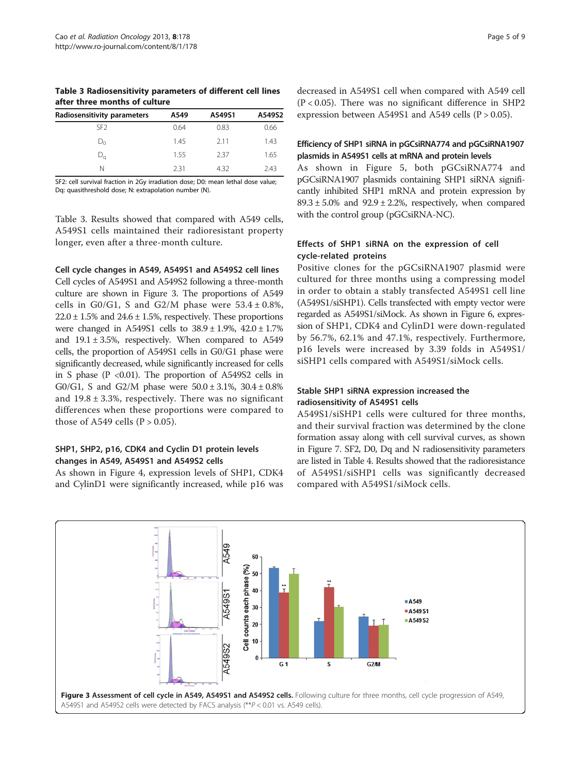Table 3 Radiosensitivity parameters of different cell lines after three months of culture

| Radiosensitivity parameters | A549 | A549S1 | A549S2 |
|-----------------------------|------|--------|--------|
| SF <sub>2</sub>             | 0.64 | 0.83   | 0.66   |
| $D_0$                       | 1.45 | 211    | 1.43   |
| $D_{\rm G}$                 | 1.55 | 237    | 1.65   |
| N                           | 231  | 4.32   | 743    |

SF2: cell survival fraction in 2Gy irradiation dose; D0: mean lethal dose value; Dq: quasithreshold dose; N: extrapolation number (N).

Table 3. Results showed that compared with A549 cells, A549S1 cells maintained their radioresistant property longer, even after a three-month culture.

#### Cell cycle changes in A549, A549S1 and A549S2 cell lines

Cell cycles of A549S1 and A549S2 following a three-month culture are shown in Figure 3. The proportions of A549 cells in G0/G1, S and G2/M phase were  $53.4 \pm 0.8\%$ ,  $22.0 \pm 1.5\%$  and  $24.6 \pm 1.5\%$ , respectively. These proportions were changed in A549S1 cells to 38.9 ± 1.9%, 42.0 ± 1.7% and  $19.1 \pm 3.5$ %, respectively. When compared to A549 cells, the proportion of A549S1 cells in G0/G1 phase were significantly decreased, while significantly increased for cells in S phase (P <0.01). The proportion of A549S2 cells in G0/G1, S and G2/M phase were  $50.0 \pm 3.1\%$ ,  $30.4 \pm 0.8\%$ and  $19.8 \pm 3.3$ %, respectively. There was no significant differences when these proportions were compared to those of A549 cells ( $P > 0.05$ ).

### SHP1, SHP2, p16, CDK4 and Cyclin D1 protein levels changes in A549, A549S1 and A549S2 cells

As shown in Figure [4,](#page-5-0) expression levels of SHP1, CDK4 and CylinD1 were significantly increased, while p16 was

decreased in A549S1 cell when compared with A549 cell  $(P < 0.05)$ . There was no significant difference in SHP2 expression between A549S1 and A549 cells ( $P > 0.05$ ).

### Efficiency of SHP1 siRNA in pGCsiRNA774 and pGCsiRNA1907 plasmids in A549S1 cells at mRNA and protein levels

As shown in Figure [5](#page-5-0), both pGCsiRNA774 and pGCsiRNA1907 plasmids containing SHP1 siRNA significantly inhibited SHP1 mRNA and protein expression by  $89.3 \pm 5.0\%$  and  $92.9 \pm 2.2\%$ , respectively, when compared with the control group (pGCsiRNA-NC).

### Effects of SHP1 siRNA on the expression of cell cycle-related proteins

Positive clones for the pGCsiRNA1907 plasmid were cultured for three months using a compressing model in order to obtain a stably transfected A549S1 cell line (A549S1/siSHP1). Cells transfected with empty vector were regarded as A549S1/siMock. As shown in Figure [6,](#page-6-0) expression of SHP1, CDK4 and CylinD1 were down-regulated by 56.7%, 62.1% and 47.1%, respectively. Furthermore, p16 levels were increased by 3.39 folds in A549S1/ siSHP1 cells compared with A549S1/siMock cells.

#### Stable SHP1 siRNA expression increased the radiosensitivity of A549S1 cells

A549S1/siSHP1 cells were cultured for three months, and their survival fraction was determined by the clone formation assay along with cell survival curves, as shown in Figure [7](#page-6-0). SF2, D0, Dq and N radiosensitivity parameters are listed in Table [4.](#page-6-0) Results showed that the radioresistance of A549S1/siSHP1 cells was significantly decreased compared with A549S1/siMock cells.

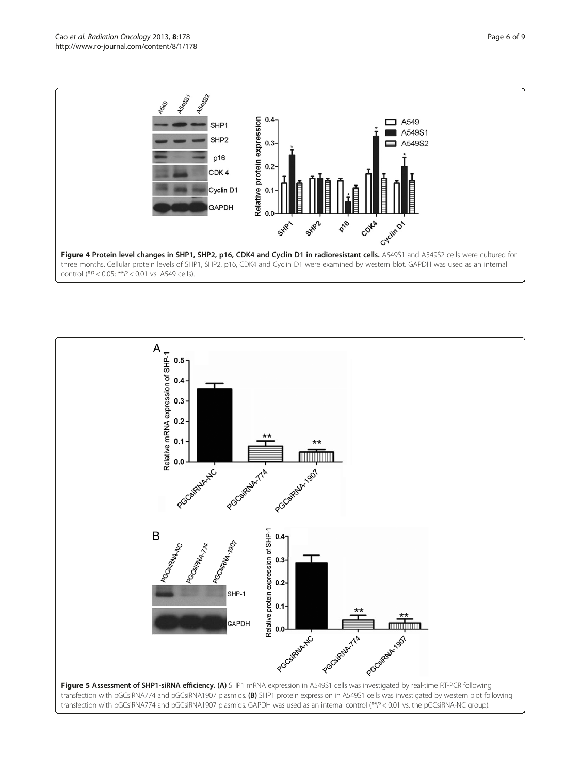<span id="page-5-0"></span>

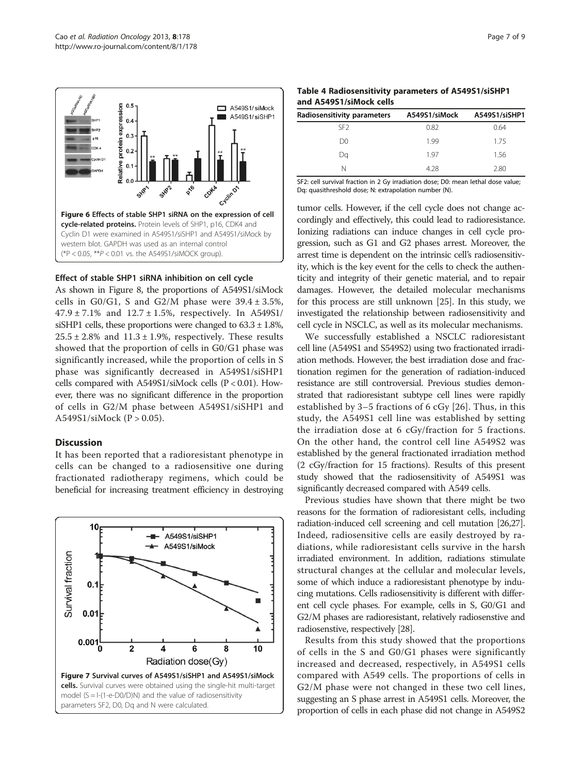<span id="page-6-0"></span>

#### Effect of stable SHP1 siRNA inhibition on cell cycle

As shown in Figure [8,](#page-7-0) the proportions of A549S1/siMock cells in G0/G1, S and G2/M phase were  $39.4 \pm 3.5$ %,  $47.9 \pm 7.1\%$  and  $12.7 \pm 1.5\%$ , respectively. In A549S1/ siSHP1 cells, these proportions were changed to  $63.3 \pm 1.8\%$ ,  $25.5 \pm 2.8\%$  and  $11.3 \pm 1.9\%$ , respectively. These results showed that the proportion of cells in G0/G1 phase was significantly increased, while the proportion of cells in S phase was significantly decreased in A549S1/siSHP1 cells compared with A549S1/siMock cells (P < 0.01). However, there was no significant difference in the proportion of cells in G2/M phase between A549S1/siSHP1 and A549S1/siMock (P > 0.05).

#### **Discussion**

It has been reported that a radioresistant phenotype in cells can be changed to a radiosensitive one during fractionated radiotherapy regimens, which could be beneficial for increasing treatment efficiency in destroying



Table 4 Radiosensitivity parameters of A549S1/siSHP1 and A549S1/siMock cells

| Radiosensitivity parameters | A549S1/siMock | A549S1/siSHP1 |
|-----------------------------|---------------|---------------|
| SF <sub>2</sub>             | 0.82          | 0.64          |
| D <sub>0</sub>              | 1.99          | 1.75          |
| Da                          | 197           | 1.56          |
| N                           | 428           | 2.80          |

SF2: cell survival fraction in 2 Gy irradiation dose; D0: mean lethal dose value; Dq: quasithreshold dose; N: extrapolation number (N).

tumor cells. However, if the cell cycle does not change accordingly and effectively, this could lead to radioresistance. Ionizing radiations can induce changes in cell cycle progression, such as G1 and G2 phases arrest. Moreover, the arrest time is dependent on the intrinsic cell's radiosensitivity, which is the key event for the cells to check the authenticity and integrity of their genetic material, and to repair damages. However, the detailed molecular mechanisms for this process are still unknown [[25](#page-8-0)]. In this study, we investigated the relationship between radiosensitivity and cell cycle in NSCLC, as well as its molecular mechanisms.

We successfully established a NSCLC radioresistant cell line (A549S1 and S549S2) using two fractionated irradiation methods. However, the best irradiation dose and fractionation regimen for the generation of radiation-induced resistance are still controversial. Previous studies demonstrated that radioresistant subtype cell lines were rapidly established by 3–5 fractions of 6 cGy [[26](#page-8-0)]. Thus, in this study, the A549S1 cell line was established by setting the irradiation dose at 6 cGy/fraction for 5 fractions. On the other hand, the control cell line A549S2 was established by the general fractionated irradiation method (2 cGy/fraction for 15 fractions). Results of this present study showed that the radiosensitivity of A549S1 was significantly decreased compared with A549 cells.

Previous studies have shown that there might be two reasons for the formation of radioresistant cells, including radiation-induced cell screening and cell mutation [[26,27](#page-8-0)]. Indeed, radiosensitive cells are easily destroyed by radiations, while radioresistant cells survive in the harsh irradiated environment. In addition, radiations stimulate structural changes at the cellular and molecular levels, some of which induce a radioresistant phenotype by inducing mutations. Cells radiosensitivity is different with different cell cycle phases. For example, cells in S, G0/G1 and G2/M phases are radioresistant, relatively radiosenstive and radiosenstive, respectively [[28](#page-8-0)].

Results from this study showed that the proportions of cells in the S and G0/G1 phases were significantly increased and decreased, respectively, in A549S1 cells compared with A549 cells. The proportions of cells in G2/M phase were not changed in these two cell lines, suggesting an S phase arrest in A549S1 cells. Moreover, the proportion of cells in each phase did not change in A549S2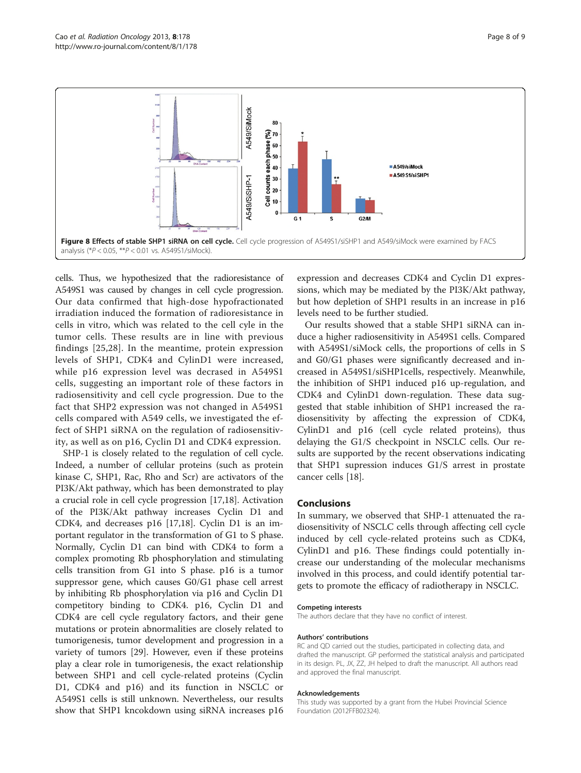<span id="page-7-0"></span>

cells. Thus, we hypothesized that the radioresistance of A549S1 was caused by changes in cell cycle progression. Our data confirmed that high-dose hypofractionated irradiation induced the formation of radioresistance in cells in vitro, which was related to the cell cyle in the tumor cells. These results are in line with previous findings [\[25,28](#page-8-0)]. In the meantime, protein expression levels of SHP1, CDK4 and CylinD1 were increased, while p16 expression level was decrased in A549S1 cells, suggesting an important role of these factors in radiosensitivity and cell cycle progression. Due to the fact that SHP2 expression was not changed in A549S1 cells compared with A549 cells, we investigated the effect of SHP1 siRNA on the regulation of radiosensitivity, as well as on p16, Cyclin D1 and CDK4 expression.

SHP-1 is closely related to the regulation of cell cycle. Indeed, a number of cellular proteins (such as protein kinase C, SHP1, Rac, Rho and Scr) are activators of the PI3K/Akt pathway, which has been demonstrated to play a crucial role in cell cycle progression [\[17,18](#page-8-0)]. Activation of the PI3K/Akt pathway increases Cyclin D1 and CDK4, and decreases p16 [\[17,18](#page-8-0)]. Cyclin D1 is an important regulator in the transformation of G1 to S phase. Normally, Cyclin D1 can bind with CDK4 to form a complex promoting Rb phosphorylation and stimulating cells transition from G1 into S phase. p16 is a tumor suppressor gene, which causes G0/G1 phase cell arrest by inhibiting Rb phosphorylation via p16 and Cyclin D1 competitory binding to CDK4. p16, Cyclin D1 and CDK4 are cell cycle regulatory factors, and their gene mutations or protein abnormalities are closely related to tumorigenesis, tumor development and progression in a variety of tumors [\[29\]](#page-8-0). However, even if these proteins play a clear role in tumorigenesis, the exact relationship between SHP1 and cell cycle-related proteins (Cyclin D1, CDK4 and p16) and its function in NSCLC or A549S1 cells is still unknown. Nevertheless, our results show that SHP1 kncokdown using siRNA increases p16

expression and decreases CDK4 and Cyclin D1 expressions, which may be mediated by the PI3K/Akt pathway, but how depletion of SHP1 results in an increase in p16 levels need to be further studied.

Our results showed that a stable SHP1 siRNA can induce a higher radiosensitivity in A549S1 cells. Compared with A549S1/siMock cells, the proportions of cells in S and G0/G1 phases were significantly decreased and increased in A549S1/siSHP1cells, respectively. Meanwhile, the inhibition of SHP1 induced p16 up-regulation, and CDK4 and CylinD1 down-regulation. These data suggested that stable inhibition of SHP1 increased the radiosensitivity by affecting the expression of CDK4, CylinD1 and p16 (cell cycle related proteins), thus delaying the G1/S checkpoint in NSCLC cells. Our results are supported by the recent observations indicating that SHP1 supression induces G1/S arrest in prostate cancer cells [\[18\]](#page-8-0).

#### Conclusions

In summary, we observed that SHP-1 attenuated the radiosensitivity of NSCLC cells through affecting cell cycle induced by cell cycle-related proteins such as CDK4, CylinD1 and p16. These findings could potentially increase our understanding of the molecular mechanisms involved in this process, and could identify potential targets to promote the efficacy of radiotherapy in NSCLC.

#### Competing interests

The authors declare that they have no conflict of interest.

#### Authors' contributions

RC and QD carried out the studies, participated in collecting data, and drafted the manuscript. GP performed the statistical analysis and participated in its design. PL, JX, ZZ, JH helped to draft the manuscript. All authors read and approved the final manuscript.

#### Acknowledgements

This study was supported by a grant from the Hubei Provincial Science Foundation (2012FFB02324).